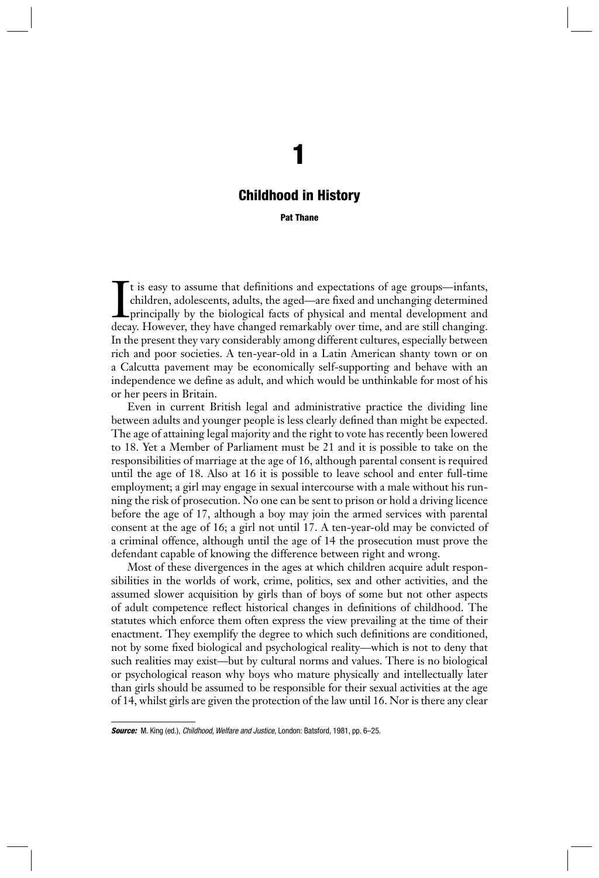# **1**

# **Childhood in History**

**Pat Thane**

It is easy to assume that definitions and expectations of age groups—infants, children, adolescents, adults, the aged—are fixed and unchanging determined principally by the biological facts of physical and mental developme t is easy to assume that definitions and expectations of age groups—infants, children, adolescents, adults, the aged—are fixed and unchanging determined principally by the biological facts of physical and mental development and In the present they vary considerably among different cultures, especially between rich and poor societies. A ten-year-old in a Latin American shanty town or on a Calcutta pavement may be economically self-supporting and behave with an independence we define as adult, and which would be unthinkable for most of his or her peers in Britain.

Even in current British legal and administrative practice the dividing line between adults and younger people is less clearly defined than might be expected. The age of attaining legal majority and the right to vote has recently been lowered to 18. Yet a Member of Parliament must be 21 and it is possible to take on the responsibilities of marriage at the age of 16, although parental consent is required until the age of 18. Also at 16 it is possible to leave school and enter full-time employment; a girl may engage in sexual intercourse with a male without his running the risk of prosecution. No one can be sent to prison or hold a driving licence before the age of 17, although a boy may join the armed services with parental consent at the age of 16; a girl not until 17. A ten-year-old may be convicted of a criminal offence, although until the age of 14 the prosecution must prove the defendant capable of knowing the difference between right and wrong.

Most of these divergences in the ages at which children acquire adult responsibilities in the worlds of work, crime, politics, sex and other activities, and the assumed slower acquisition by girls than of boys of some but not other aspects of adult competence reflect historical changes in definitions of childhood. The statutes which enforce them often express the view prevailing at the time of their enactment. They exemplify the degree to which such definitions are conditioned, not by some fixed biological and psychological reality—which is not to deny that such realities may exist—but by cultural norms and values. There is no biological or psychological reason why boys who mature physically and intellectually later than girls should be assumed to be responsible for their sexual activities at the age of 14, whilst girls are given the protection of the law until 16. Nor is there any clear

*Source:* M. King (ed.), *Childhood, Welfare and Justice,* London: Batsford, 1981, pp. 6–25.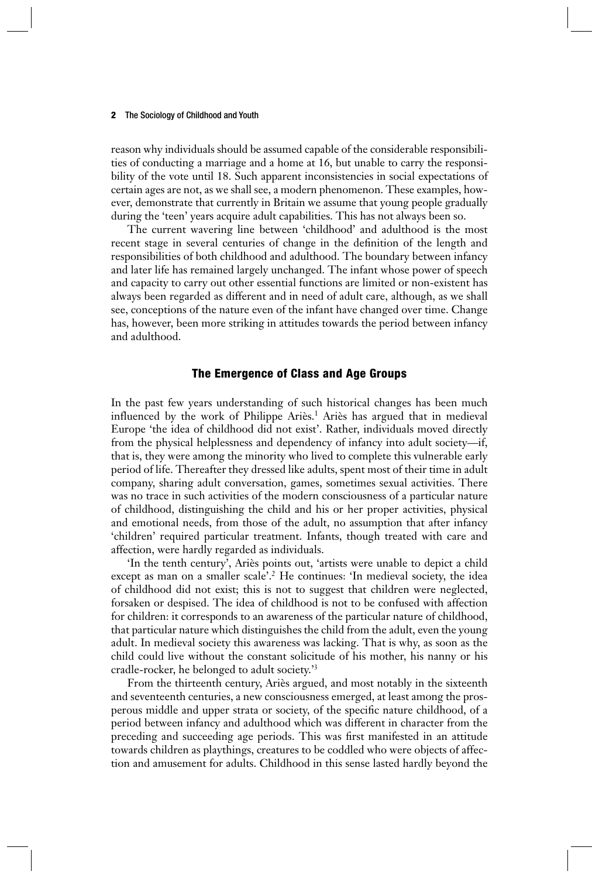reason why individuals should be assumed capable of the considerable responsibilities of conducting a marriage and a home at 16, but unable to carry the responsibility of the vote until 18. Such apparent inconsistencies in social expectations of certain ages are not, as we shall see, a modern phenomenon. These examples, however, demonstrate that currently in Britain we assume that young people gradually during the 'teen' years acquire adult capabilities. This has not always been so.

The current wavering line between 'childhood' and adulthood is the most recent stage in several centuries of change in the definition of the length and responsibilities of both childhood and adulthood. The boundary between infancy and later life has remained largely unchanged. The infant whose power of speech and capacity to carry out other essential functions are limited or non-existent has always been regarded as different and in need of adult care, although, as we shall see, conceptions of the nature even of the infant have changed over time. Change has, however, been more striking in attitudes towards the period between infancy and adulthood.

# **The Emergence of Class and Age Groups**

In the past few years understanding of such historical changes has been much influenced by the work of Philippe Ariès.<sup>1</sup> Ariès has argued that in medieval Europe 'the idea of childhood did not exist'. Rather, individuals moved directly from the physical helplessness and dependency of infancy into adult society—if, that is, they were among the minority who lived to complete this vulnerable early period of life. Thereafter they dressed like adults, spent most of their time in adult company, sharing adult conversation, games, sometimes sexual activities. There was no trace in such activities of the modern consciousness of a particular nature of childhood, distinguishing the child and his or her proper activities, physical and emotional needs, from those of the adult, no assumption that after infancy 'children' required particular treatment. Infants, though treated with care and affection, were hardly regarded as individuals.

'In the tenth century', Ariès points out, 'artists were unable to depict a child except as man on a smaller scale'.<sup>2</sup> He continues: 'In medieval society, the idea of childhood did not exist; this is not to suggest that children were neglected, forsaken or despised. The idea of childhood is not to be confused with affection for children: it corresponds to an awareness of the particular nature of childhood, that particular nature which distinguishes the child from the adult, even the young adult. In medieval society this awareness was lacking. That is why, as soon as the child could live without the constant solicitude of his mother, his nanny or his cradle-rocker, he belonged to adult society.'3

From the thirteenth century, Ariès argued, and most notably in the sixteenth and seventeenth centuries, a new consciousness emerged, at least among the prosperous middle and upper strata or society, of the specific nature childhood, of a period between infancy and adulthood which was different in character from the preceding and succeeding age periods. This was first manifested in an attitude towards children as playthings, creatures to be coddled who were objects of affection and amusement for adults. Childhood in this sense lasted hardly beyond the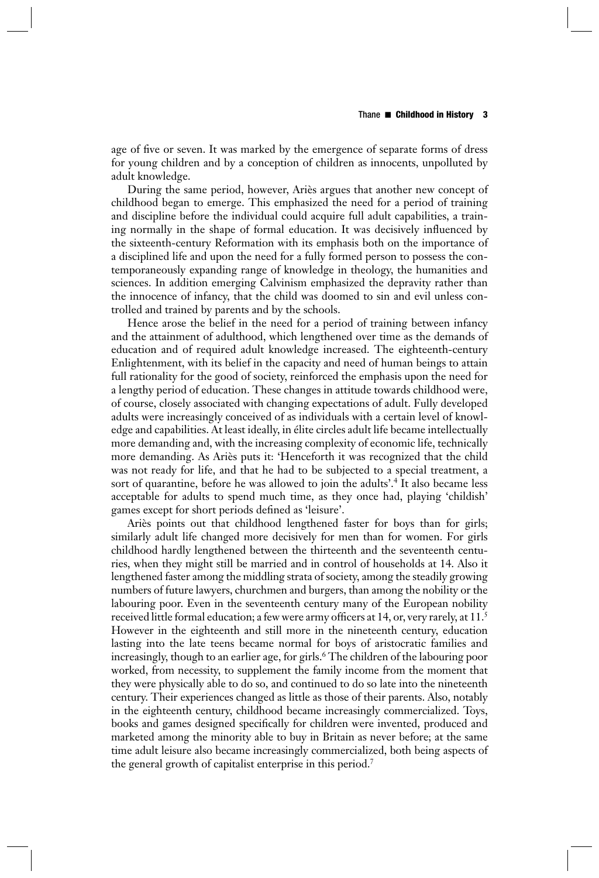age of five or seven. It was marked by the emergence of separate forms of dress for young children and by a conception of children as innocents, unpolluted by adult knowledge.

During the same period, however, Ariès argues that another new concept of childhood began to emerge. This emphasized the need for a period of training and discipline before the individual could acquire full adult capabilities, a training normally in the shape of formal education. It was decisively influenced by the sixteenth-century Reformation with its emphasis both on the importance of a disciplined life and upon the need for a fully formed person to possess the contemporaneously expanding range of knowledge in theology, the humanities and sciences. In addition emerging Calvinism emphasized the depravity rather than the innocence of infancy, that the child was doomed to sin and evil unless controlled and trained by parents and by the schools.

Hence arose the belief in the need for a period of training between infancy and the attainment of adulthood, which lengthened over time as the demands of education and of required adult knowledge increased. The eighteenth- century Enlightenment, with its belief in the capacity and need of human beings to attain full rationality for the good of society, reinforced the emphasis upon the need for a lengthy period of education. These changes in attitude towards childhood were, of course, closely associated with changing expectations of adult. Fully developed adults were increasingly conceived of as individuals with a certain level of knowledge and capabilities. At least ideally, in élite circles adult life became intellectually more demanding and, with the increasing complexity of economic life, technically more demanding. As Ariès puts it: 'Henceforth it was recognized that the child was not ready for life, and that he had to be subjected to a special treatment, a sort of quarantine, before he was allowed to join the adults'.4 It also became less acceptable for adults to spend much time, as they once had, playing 'childish' games except for short periods defined as 'leisure'.

Ariès points out that childhood lengthened faster for boys than for girls; similarly adult life changed more decisively for men than for women. For girls childhood hardly lengthened between the thirteenth and the seventeenth centuries, when they might still be married and in control of households at 14. Also it lengthened faster among the middling strata of society, among the steadily growing numbers of future lawyers, churchmen and burgers, than among the nobility or the labouring poor. Even in the seventeenth century many of the European nobility received little formal education; a few were army officers at 14, or, very rarely, at 11.<sup>5</sup> However in the eighteenth and still more in the nineteenth century, education lasting into the late teens became normal for boys of aristocratic families and increasingly, though to an earlier age, for girls.<sup>6</sup> The children of the labouring poor worked, from necessity, to supplement the family income from the moment that they were physically able to do so, and continued to do so late into the nineteenth century. Their experiences changed as little as those of their parents. Also, notably in the eighteenth century, childhood became increasingly commercialized. Toys, books and games designed specifically for children were invented, produced and marketed among the minority able to buy in Britain as never before; at the same time adult leisure also became increasingly commercialized, both being aspects of the general growth of capitalist enterprise in this period.7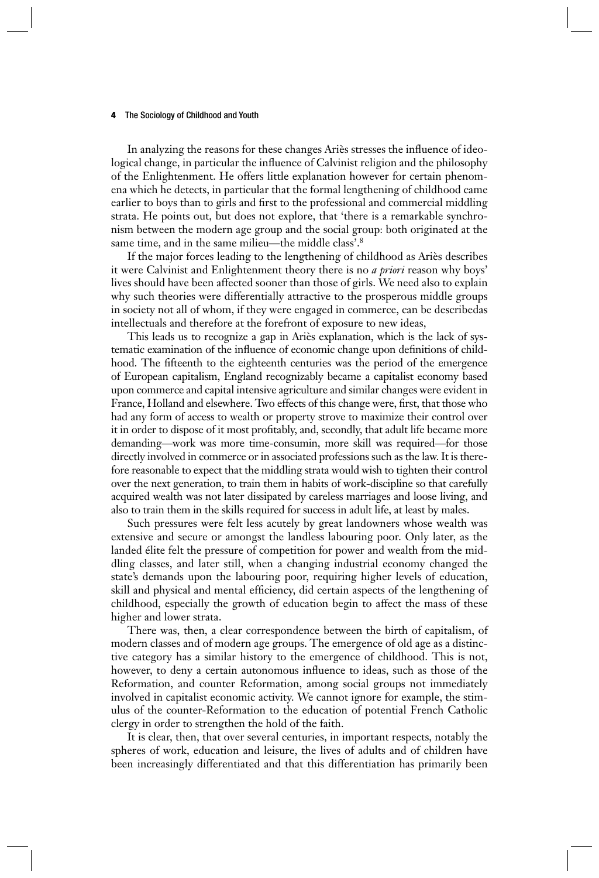In analyzing the reasons for these changes Ariès stresses the influence of ideological change, in particular the influence of Calvinist religion and the philosophy of the Enlightenment. He offers little explanation however for certain phenomena which he detects, in particular that the formal lengthening of childhood came earlier to boys than to girls and first to the professional and commercial middling strata. He points out, but does not explore, that 'there is a remarkable synchronism between the modern age group and the social group: both originated at the same time, and in the same milieu—the middle class'.<sup>8</sup>

If the major forces leading to the lengthening of childhood as Ariès describes it were Calvinist and Enlightenment theory there is no *a priori* reason why boys' lives should have been affected sooner than those of girls. We need also to explain why such theories were differentially attractive to the prosperous middle groups in society not all of whom, if they were engaged in commerce, can be describedas intellectuals and therefore at the forefront of exposure to new ideas,

This leads us to recognize a gap in Ariès explanation, which is the lack of systematic examination of the influence of economic change upon definitions of childhood. The fifteenth to the eighteenth centuries was the period of the emergence of European capitalism, England recognizably became a capitalist economy based upon commerce and capital intensive agriculture and similar changes were evident in France, Holland and elsewhere. Two effects of this change were, first, that those who had any form of access to wealth or property strove to maximize their control over it in order to dispose of it most profitably, and, secondly, that adult life became more demanding—work was more time-consumin, more skill was required—for those directly involved in commerce or in associated professions such as the law. It is therefore reasonable to expect that the middling strata would wish to tighten their control over the next generation, to train them in habits of work-discipline so that carefully acquired wealth was not later dissipated by careless marriages and loose living, and also to train them in the skills required for success in adult life, at least by males.

Such pressures were felt less acutely by great landowners whose wealth was extensive and secure or amongst the landless labouring poor. Only later, as the landed élite felt the pressure of competition for power and wealth from the middling classes, and later still, when a changing industrial economy changed the state's demands upon the labouring poor, requiring higher levels of education, skill and physical and mental efficiency, did certain aspects of the lengthening of childhood, especially the growth of education begin to affect the mass of these higher and lower strata.

There was, then, a clear correspondence between the birth of capitalism, of modern classes and of modern age groups. The emergence of old age as a distinctive category has a similar history to the emergence of childhood. This is not, however, to deny a certain autonomous influence to ideas, such as those of the Reformation, and counter Reformation, among social groups not immediately involved in capitalist economic activity. We cannot ignore for example, the stimulus of the counter-Reformation to the education of potential French Catholic clergy in order to strengthen the hold of the faith.

It is clear, then, that over several centuries, in important respects, notably the spheres of work, education and leisure, the lives of adults and of children have been increasingly differentiated and that this differentiation has primarily been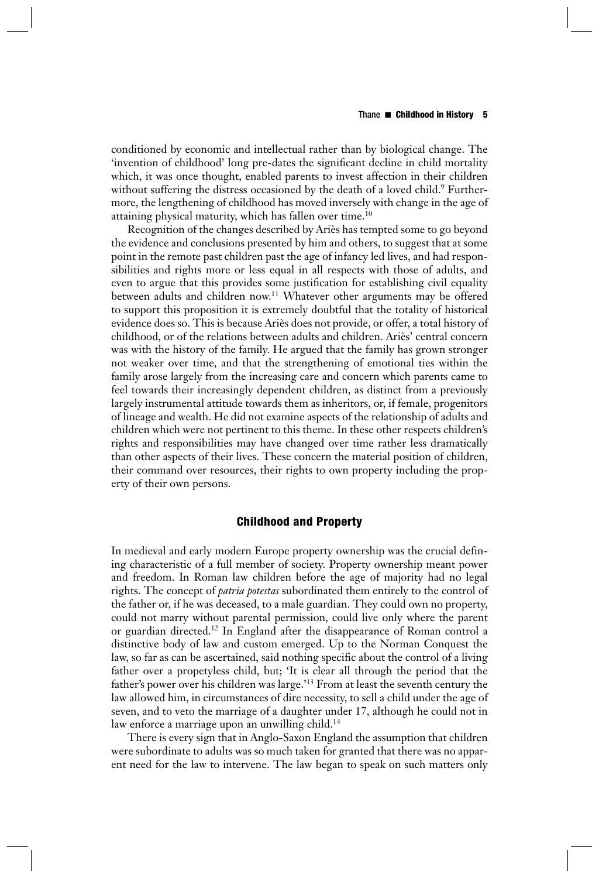conditioned by economic and intellectual rather than by biological change. The 'invention of childhood' long pre-dates the significant decline in child mortality which, it was once thought, enabled parents to invest affection in their children without suffering the distress occasioned by the death of a loved child.<sup>9</sup> Furthermore, the lengthening of childhood has moved inversely with change in the age of attaining physical maturity, which has fallen over time.10

Recognition of the changes described by Ariès has tempted some to go beyond the evidence and conclusions presented by him and others, to suggest that at some point in the remote past children past the age of infancy led lives, and had responsibilities and rights more or less equal in all respects with those of adults, and even to argue that this provides some justification for establishing civil equality between adults and children now.<sup>11</sup> Whatever other arguments may be offered to support this proposition it is extremely doubtful that the totality of historical evidence does so. This is because Ariès does not provide, or offer, a total history of childhood, or of the relations between adults and children. Ariès' central concern was with the history of the family. He argued that the family has grown stronger not weaker over time, and that the strengthening of emotional ties within the family arose largely from the increasing care and concern which parents came to feel towards their increasingly dependent children, as distinct from a previously largely instrumental attitude towards them as inheritors, or, if female, progenitors of lineage and wealth. He did not examine aspects of the relationship of adults and children which were not pertinent to this theme. In these other respects children's rights and responsibilities may have changed over time rather less dramatically than other aspects of their lives. These concern the material position of children, their command over resources, their rights to own property including the property of their own persons.

# **Childhood and Property**

In medieval and early modern Europe property ownership was the crucial defining characteristic of a full member of society. Property ownership meant power and freedom. In Roman law children before the age of majority had no legal rights. The concept of *patria potestas* subordinated them entirely to the control of the father or, if he was deceased, to a male guardian. They could own no property, could not marry without parental permission, could live only where the parent or guardian directed.12 In England after the disappearance of Roman control a distinctive body of law and custom emerged. Up to the Norman Conquest the law, so far as can be ascertained, said nothing specific about the control of a living father over a propetyless child, but; 'It is clear all through the period that the father's power over his children was large.'13 From at least the seventh century the law allowed him, in circumstances of dire necessity, to sell a child under the age of seven, and to veto the marriage of a daughter under 17, although he could not in law enforce a marriage upon an unwilling child.<sup>14</sup>

There is every sign that in Anglo-Saxon England the assumption that children were subordinate to adults was so much taken for granted that there was no apparent need for the law to intervene. The law began to speak on such matters only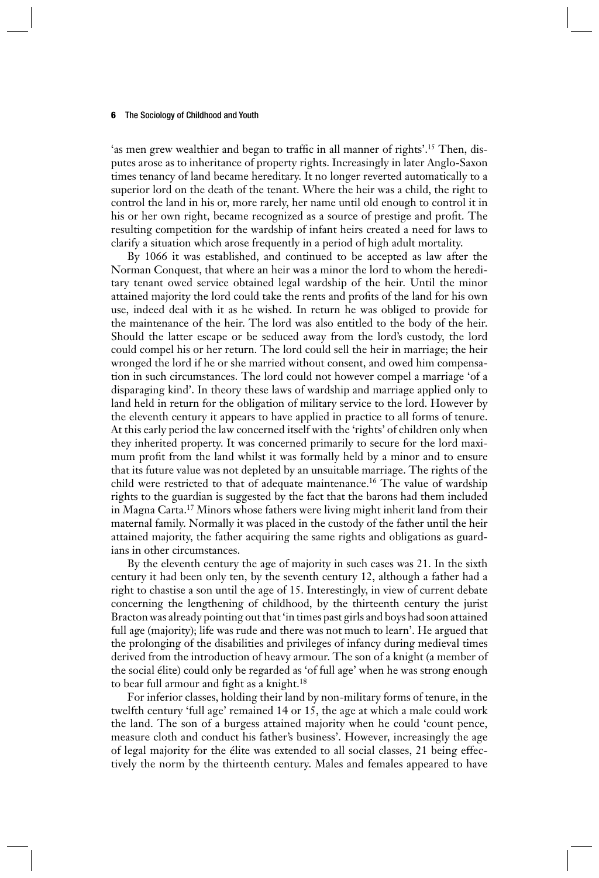'as men grew wealthier and began to traffic in all manner of rights'.<sup>15</sup> Then, disputes arose as to inheritance of property rights. Increasingly in later Anglo-Saxon times tenancy of land became hereditary. It no longer reverted automatically to a superior lord on the death of the tenant. Where the heir was a child, the right to control the land in his or, more rarely, her name until old enough to control it in his or her own right, became recognized as a source of prestige and profit. The resulting competition for the wardship of infant heirs created a need for laws to clarify a situation which arose frequently in a period of high adult mortality.

By 1066 it was established, and continued to be accepted as law after the Norman Conquest, that where an heir was a minor the lord to whom the hereditary tenant owed service obtained legal wardship of the heir. Until the minor attained majority the lord could take the rents and profits of the land for his own use, indeed deal with it as he wished. In return he was obliged to provide for the maintenance of the heir. The lord was also entitled to the body of the heir. Should the latter escape or be seduced away from the lord's custody, the lord could compel his or her return. The lord could sell the heir in marriage; the heir wronged the lord if he or she married without consent, and owed him compensation in such circumstances. The lord could not however compel a marriage 'of a disparaging kind'. In theory these laws of wardship and marriage applied only to land held in return for the obligation of military service to the lord. However by the eleventh century it appears to have applied in practice to all forms of tenure. At this early period the law concerned itself with the 'rights' of children only when they inherited property. It was concerned primarily to secure for the lord maximum profit from the land whilst it was formally held by a minor and to ensure that its future value was not depleted by an unsuitable marriage. The rights of the child were restricted to that of adequate maintenance.16 The value of wardship rights to the guardian is suggested by the fact that the barons had them included in Magna Carta.17 Minors whose fathers were living might inherit land from their maternal family. Normally it was placed in the custody of the father until the heir attained majority, the father acquiring the same rights and obligations as guardians in other circumstances.

By the eleventh century the age of majority in such cases was 21. In the sixth century it had been only ten, by the seventh century 12, although a father had a right to chastise a son until the age of 15. Interestingly, in view of current debate concerning the lengthening of childhood, by the thirteenth century the jurist Bracton was already pointing out that 'in times past girls and boys had soon attained full age (majority); life was rude and there was not much to learn'. He argued that the prolonging of the disabilities and privileges of infancy during medieval times derived from the introduction of heavy armour. The son of a knight (a member of the social élite) could only be regarded as 'of full age' when he was strong enough to bear full armour and fight as a knight.<sup>18</sup>

For inferior classes, holding their land by non-military forms of tenure, in the twelfth century 'full age' remained 14 or 15, the age at which a male could work the land. The son of a burgess attained majority when he could 'count pence, measure cloth and conduct his father's business'. However, increasingly the age of legal majority for the élite was extended to all social classes, 21 being effectively the norm by the thirteenth century. Males and females appeared to have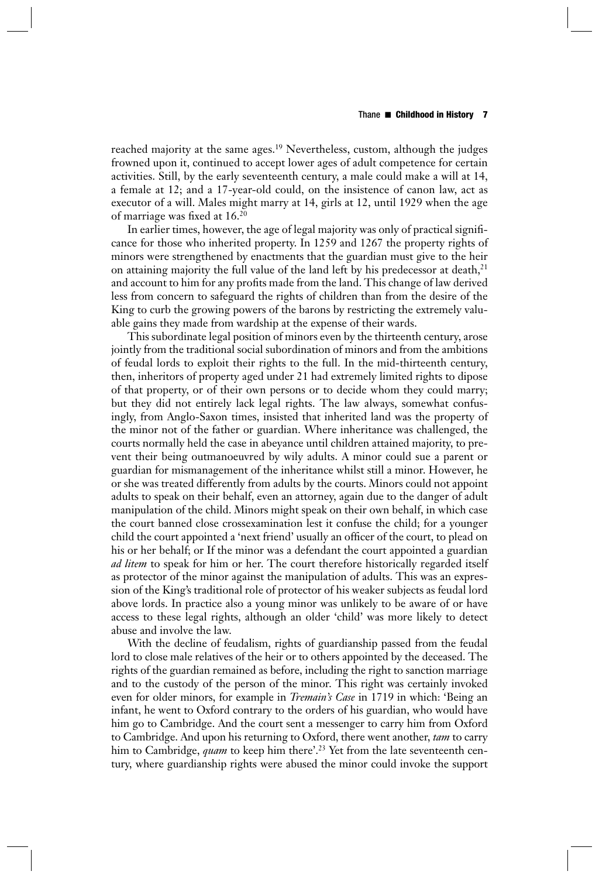reached majority at the same ages.<sup>19</sup> Nevertheless, custom, although the judges frowned upon it, continued to accept lower ages of adult competence for certain activities. Still, by the early seventeenth century, a male could make a will at 14, a female at 12; and a 17-year-old could, on the insistence of canon law, act as executor of a will. Males might marry at 14, girls at 12, until 1929 when the age of marriage was fixed at  $16.^{20}$ 

In earlier times, however, the age of legal majority was only of practical signifi cance for those who inherited property. In 1259 and 1267 the property rights of minors were strengthened by enactments that the guardian must give to the heir on attaining majority the full value of the land left by his predecessor at death, $21$ and account to him for any profits made from the land. This change of law derived less from concern to safeguard the rights of children than from the desire of the King to curb the growing powers of the barons by restricting the extremely valuable gains they made from wardship at the expense of their wards.

This subordinate legal position of minors even by the thirteenth century, arose jointly from the traditional social subordination of minors and from the ambitions of feudal lords to exploit their rights to the full. In the mid-thirteenth century, then, inheritors of property aged under 21 had extremely limited rights to dipose of that property, or of their own persons or to decide whom they could marry; but they did not entirely lack legal rights. The law always, somewhat confusingly, from Anglo-Saxon times, insisted that inherited land was the property of the minor not of the father or guardian. Where inheritance was challenged, the courts normally held the case in abeyance until children attained majority, to prevent their being outmanoeuvred by wily adults. A minor could sue a parent or guardian for mismanagement of the inheritance whilst still a minor. However, he or she was treated differently from adults by the courts. Minors could not appoint adults to speak on their behalf, even an attorney, again due to the danger of adult manipulation of the child. Minors might speak on their own behalf, in which case the court banned close crossexamination lest it confuse the child; for a younger child the court appointed a 'next friend' usually an officer of the court, to plead on his or her behalf; or If the minor was a defendant the court appointed a guardian *ad litem* to speak for him or her. The court therefore historically regarded itself as protector of the minor against the manipulation of adults. This was an expression of the King's traditional role of protector of his weaker subjects as feudal lord above lords. In practice also a young minor was unlikely to be aware of or have access to these legal rights, although an older 'child' was more likely to detect abuse and involve the law.

With the decline of feudalism, rights of guardianship passed from the feudal lord to close male relatives of the heir or to others appointed by the deceased. The rights of the guardian remained as before, including the right to sanction marriage and to the custody of the person of the minor. This right was certainly invoked even for older minors, for example in *Tremain's Case* in 1719 in which: 'Being an infant, he went to Oxford contrary to the orders of his guardian, who would have him go to Cambridge. And the court sent a messenger to carry him from Oxford to Cambridge. And upon his returning to Oxford, there went another, *tam* to carry him to Cambridge, *quam* to keep him there'.<sup>23</sup> Yet from the late seventeenth century, where guardianship rights were abused the minor could invoke the support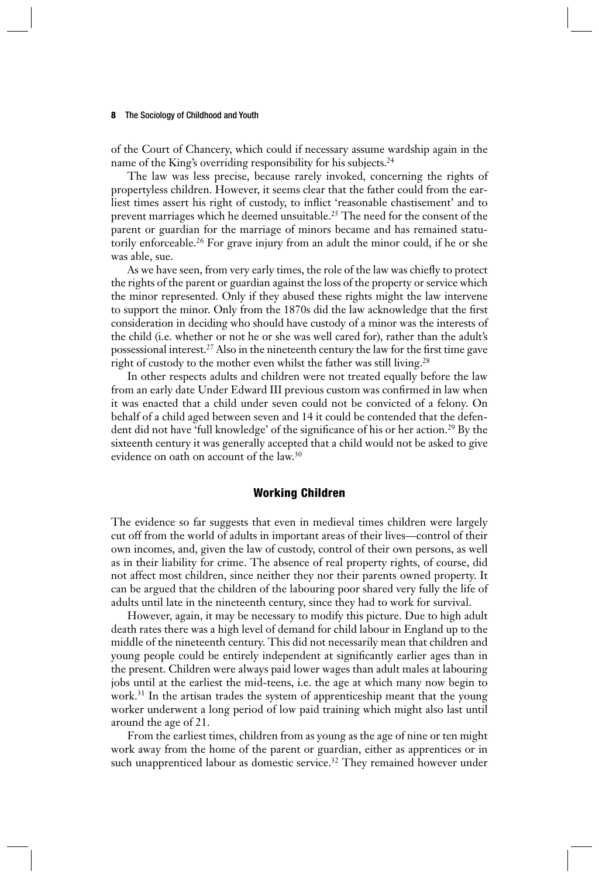of the Court of Chancery, which could if necessary assume wardship again in the name of the King's overriding responsibility for his subjects.<sup>24</sup>

The law was less precise, because rarely invoked, concerning the rights of propertyless children. However, it seems clear that the father could from the earliest times assert his right of custody, to inflict 'reasonable chastisement' and to prevent marriages which he deemed unsuitable.<sup>25</sup> The need for the consent of the parent or guardian for the marriage of minors became and has remained statutorily enforceable.26 For grave injury from an adult the minor could, if he or she was able, sue.

As we have seen, from very early times, the role of the law was chiefly to protect the rights of the parent or guardian against the loss of the property or service which the minor represented. Only if they abused these rights might the law intervene to support the minor. Only from the 1870s did the law acknowledge that the first consideration in deciding who should have custody of a minor was the interests of the child (i.e. whether or not he or she was well cared for), rather than the adult's possessional interest.<sup>27</sup> Also in the nineteenth century the law for the first time gave right of custody to the mother even whilst the father was still living.<sup>28</sup>

In other respects adults and children were not treated equally before the law from an early date Under Edward III previous custom was confirmed in law when it was enacted that a child under seven could not be convicted of a felony. On behalf of a child aged between seven and 14 it could be contended that the defendent did not have 'full knowledge' of the significance of his or her action.<sup>29</sup> By the sixteenth century it was generally accepted that a child would not be asked to give evidence on oath on account of the law.30

# **Working Children**

The evidence so far suggests that even in medieval times children were largely cut off from the world of adults in important areas of their lives—control of their own incomes, and, given the law of custody, control of their own persons, as well as in their liability for crime. The absence of real property rights, of course, did not affect most children, since neither they nor their parents owned property. It can be argued that the children of the labouring poor shared very fully the life of adults until late in the nineteenth century, since they had to work for survival.

However, again, it may be necessary to modify this picture. Due to high adult death rates there was a high level of demand for child labour in England up to the middle of the nineteenth century. This did not necessarily mean that children and young people could be entirely independent at significantly earlier ages than in the present. Children were always paid lower wages than adult males at labouring jobs until at the earliest the mid-teens, i.e. the age at which many now begin to work.<sup>31</sup> In the artisan trades the system of apprenticeship meant that the young worker underwent a long period of low paid training which might also last until around the age of 21.

From the earliest times, children from as young as the age of nine or ten might work away from the home of the parent or guardian, either as apprentices or in such unapprenticed labour as domestic service.<sup>32</sup> They remained however under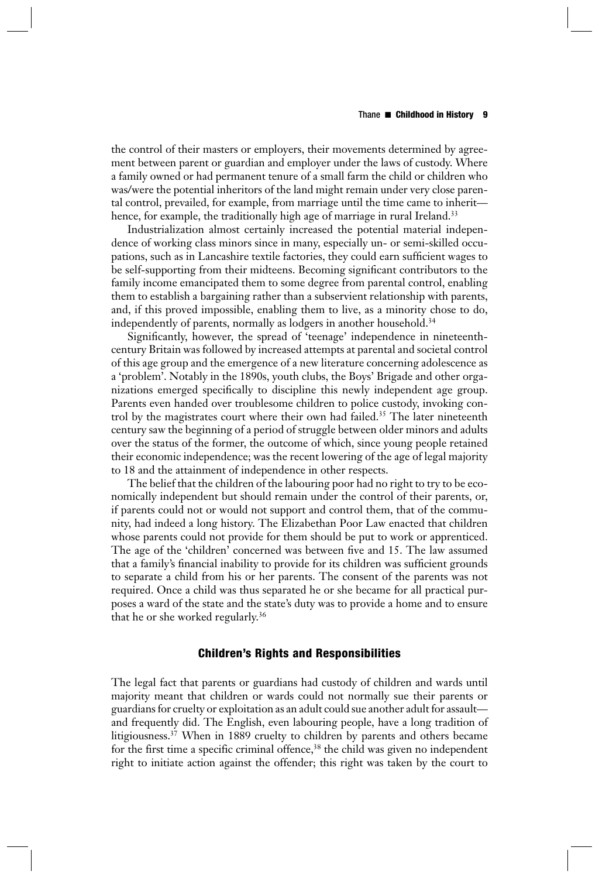#### Thane ■ **Childhood in History 9**

the control of their masters or employers, their movements determined by agreement between parent or guardian and employer under the laws of custody. Where a family owned or had permanent tenure of a small farm the child or children who was/were the potential inheritors of the land might remain under very close parental control, prevailed, for example, from marriage until the time came to inherit hence, for example, the traditionally high age of marriage in rural Ireland.<sup>33</sup>

Industrialization almost certainly increased the potential material independence of working class minors since in many, especially un- or semi-skilled occupations, such as in Lancashire textile factories, they could earn sufficient wages to be self-supporting from their midteens. Becoming significant contributors to the family income emancipated them to some degree from parental control, enabling them to establish a bargaining rather than a subservient relationship with parents, and, if this proved impossible, enabling them to live, as a minority chose to do, independently of parents, normally as lodgers in another household.<sup>34</sup>

Significantly, however, the spread of 'teenage' independence in nineteenthcentury Britain was followed by increased attempts at parental and societal control of this age group and the emergence of a new literature concerning adolescence as a 'problem'. Notably in the 1890s, youth clubs, the Boys' Brigade and other organizations emerged specifically to discipline this newly independent age group. Parents even handed over troublesome children to police custody, invoking control by the magistrates court where their own had failed.35 The later nineteenth century saw the beginning of a period of struggle between older minors and adults over the status of the former, the outcome of which, since young people retained their economic independence; was the recent lowering of the age of legal majority to 18 and the attainment of independence in other respects.

The belief that the children of the labouring poor had no right to try to be economically independent but should remain under the control of their parents, or, if parents could not or would not support and control them, that of the community, had indeed a long history. The Elizabethan Poor Law enacted that children whose parents could not provide for them should be put to work or apprenticed. The age of the 'children' concerned was between five and 15. The law assumed that a family's financial inability to provide for its children was sufficient grounds to separate a child from his or her parents. The consent of the parents was not required. Once a child was thus separated he or she became for all practical purposes a ward of the state and the state's duty was to provide a home and to ensure that he or she worked regularly.36

# **Children's Rights and Responsibilities**

The legal fact that parents or guardians had custody of children and wards until majority meant that children or wards could not normally sue their parents or guardians for cruelty or exploitation as an adult could sue another adult for assault and frequently did. The English, even labouring people, have a long tradition of litigiousness.37 When in 1889 cruelty to children by parents and others became for the first time a specific criminal offence, $38$  the child was given no independent right to initiate action against the offender; this right was taken by the court to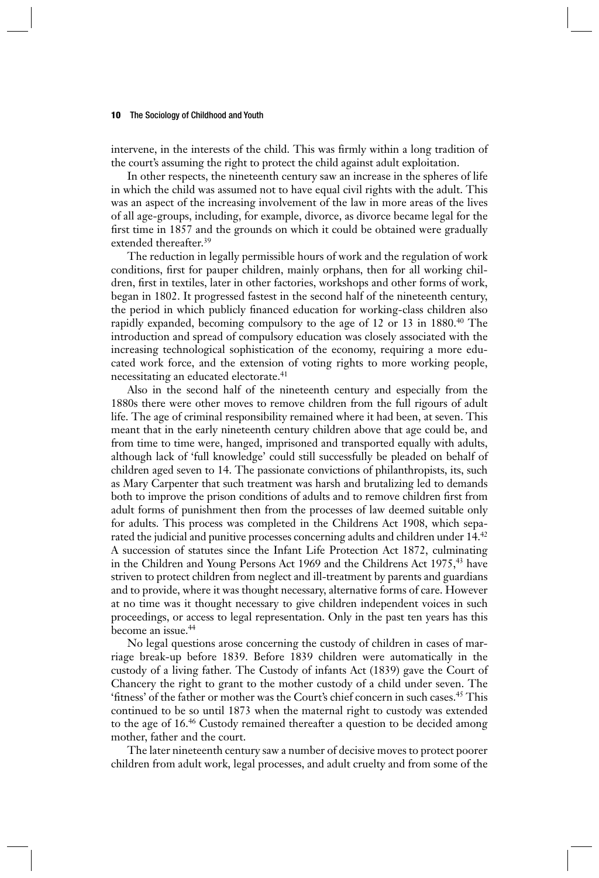intervene, in the interests of the child. This was firmly within a long tradition of the court's assuming the right to protect the child against adult exploitation.

In other respects, the nineteenth century saw an increase in the spheres of life in which the child was assumed not to have equal civil rights with the adult. This was an aspect of the increasing involvement of the law in more areas of the lives of all age-groups, including, for example, divorce, as divorce became legal for the first time in 1857 and the grounds on which it could be obtained were gradually extended thereafter.<sup>39</sup>

The reduction in legally permissible hours of work and the regulation of work conditions, first for pauper children, mainly orphans, then for all working children, first in textiles, later in other factories, workshops and other forms of work, began in 1802. It progressed fastest in the second half of the nineteenth century, the period in which publicly financed education for working-class children also rapidly expanded, becoming compulsory to the age of 12 or 13 in 1880.<sup>40</sup> The introduction and spread of compulsory education was closely associated with the increasing technological sophistication of the economy, requiring a more educated work force, and the extension of voting rights to more working people, necessitating an educated electorate.41

Also in the second half of the nineteenth century and especially from the 1880s there were other moves to remove children from the full rigours of adult life. The age of criminal responsibility remained where it had been, at seven. This meant that in the early nineteenth century children above that age could be, and from time to time were, hanged, imprisoned and transported equally with adults, although lack of 'full knowledge' could still successfully be pleaded on behalf of children aged seven to 14. The passionate convictions of philanthropists, its, such as Mary Carpenter that such treatment was harsh and brutalizing led to demands both to improve the prison conditions of adults and to remove children first from adult forms of punishment then from the processes of law deemed suitable only for adults. This process was completed in the Childrens Act 1908, which separated the judicial and punitive processes concerning adults and children under 14.42 A succession of statutes since the Infant Life Protection Act 1872, culminating in the Children and Young Persons Act 1969 and the Childrens Act 1975,<sup>43</sup> have striven to protect children from neglect and ill-treatment by parents and guardians and to provide, where it was thought necessary, alternative forms of care. However at no time was it thought necessary to give children independent voices in such proceedings, or access to legal representation. Only in the past ten years has this become an issue.<sup>44</sup>

No legal questions arose concerning the custody of children in cases of marriage break-up before 1839. Before 1839 children were automatically in the custody of a living father. The Custody of infants Act (1839) gave the Court of Chancery the right to grant to the mother custody of a child under seven. The 'fitness' of the father or mother was the Court's chief concern in such cases.<sup>45</sup> This continued to be so until 1873 when the maternal right to custody was extended to the age of 16.46 Custody remained thereafter a question to be decided among mother, father and the court.

The later nineteenth century saw a number of decisive moves to protect poorer children from adult work, legal processes, and adult cruelty and from some of the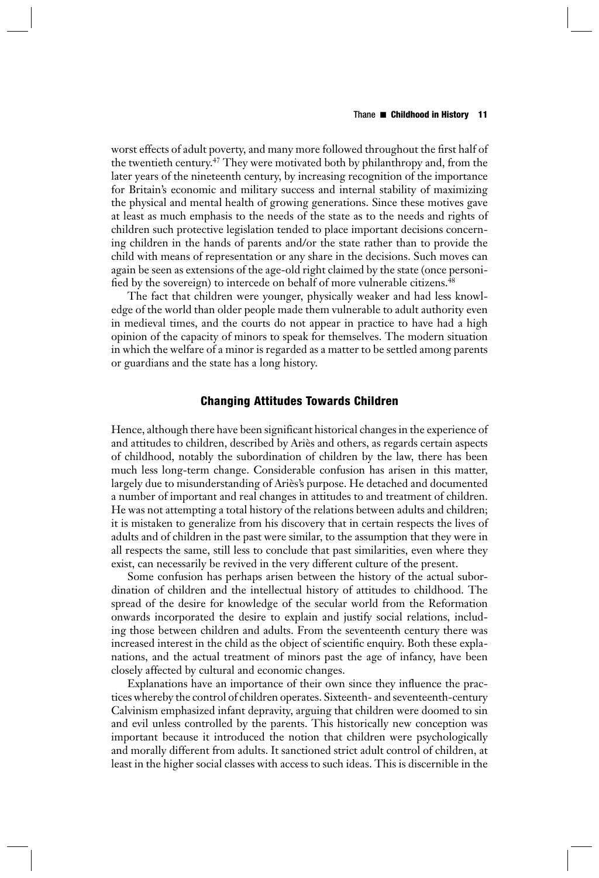## Thane ■ **Childhood in History 11**

worst effects of adult poverty, and many more followed throughout the first half of the twentieth century.<sup>47</sup> They were motivated both by philanthropy and, from the later years of the nineteenth century, by increasing recognition of the importance for Britain's economic and military success and internal stability of maximizing the physical and mental health of growing generations. Since these motives gave at least as much emphasis to the needs of the state as to the needs and rights of children such protective legislation tended to place important decisions concerning children in the hands of parents and/or the state rather than to provide the child with means of representation or any share in the decisions. Such moves can again be seen as extensions of the age-old right claimed by the state (once personified by the sovereign) to intercede on behalf of more vulnerable citizens.<sup>48</sup>

The fact that children were younger, physically weaker and had less knowledge of the world than older people made them vulnerable to adult authority even in medieval times, and the courts do not appear in practice to have had a high opinion of the capacity of minors to speak for themselves. The modern situation in which the welfare of a minor is regarded as a matter to be settled among parents or guardians and the state has a long history.

# **Changing Attitudes Towards Children**

Hence, although there have been significant historical changes in the experience of and attitudes to children, described by Ariès and others, as regards certain aspects of childhood, notably the subordination of children by the law, there has been much less long-term change. Considerable confusion has arisen in this matter, largely due to misunderstanding of Ariès's purpose. He detached and documented a number of important and real changes in attitudes to and treatment of children. He was not attempting a total history of the relations between adults and children; it is mistaken to generalize from his discovery that in certain respects the lives of adults and of children in the past were similar, to the assumption that they were in all respects the same, still less to conclude that past similarities, even where they exist, can necessarily be revived in the very different culture of the present.

Some confusion has perhaps arisen between the history of the actual subordination of children and the intellectual history of attitudes to childhood. The spread of the desire for knowledge of the secular world from the Reformation onwards incorporated the desire to explain and justify social relations, including those between children and adults. From the seventeenth century there was increased interest in the child as the object of scientific enquiry. Both these explanations, and the actual treatment of minors past the age of infancy, have been closely affected by cultural and economic changes.

Explanations have an importance of their own since they influence the practices whereby the control of children operates. Sixteenth- and seventeenth- century Calvinism emphasized infant depravity, arguing that children were doomed to sin and evil unless controlled by the parents. This historically new conception was important because it introduced the notion that children were psychologically and morally different from adults. It sanctioned strict adult control of children, at least in the higher social classes with access to such ideas. This is discernible in the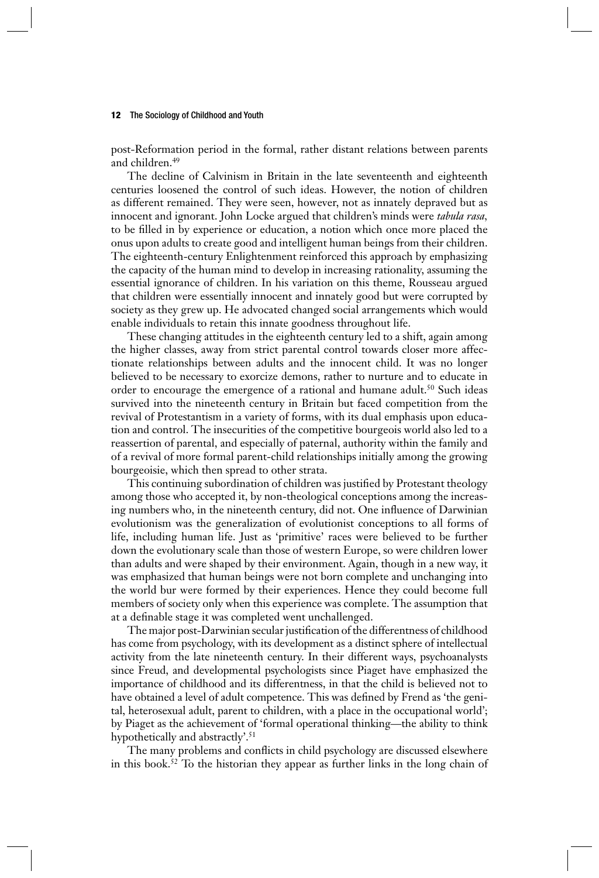post-Reformation period in the formal, rather distant relations between parents and children.49

The decline of Calvinism in Britain in the late seventeenth and eighteenth centuries loosened the control of such ideas. However, the notion of children as different remained. They were seen, however, not as innately depraved but as innocent and ignorant. John Locke argued that children's minds were *tabula rasa,*  to be filled in by experience or education, a notion which once more placed the onus upon adults to create good and intelligent human beings from their children. The eighteenth-century Enlightenment reinforced this approach by emphasizing the capacity of the human mind to develop in increasing rationality, assuming the essential ignorance of children. In his variation on this theme, Rousseau argued that children were essentially innocent and innately good but were corrupted by society as they grew up. He advocated changed social arrangements which would enable individuals to retain this innate goodness throughout life.

These changing attitudes in the eighteenth century led to a shift, again among the higher classes, away from strict parental control towards closer more affectionate relationships between adults and the innocent child. It was no longer believed to be necessary to exorcize demons, rather to nurture and to educate in order to encourage the emergence of a rational and humane adult.<sup>50</sup> Such ideas survived into the nineteenth century in Britain but faced competition from the revival of Protestantism in a variety of forms, with its dual emphasis upon education and control. The insecurities of the competitive bourgeois world also led to a reassertion of parental, and especially of paternal, authority within the family and of a revival of more formal parent-child relationships initially among the growing bourgeoisie, which then spread to other strata.

This continuing subordination of children was justified by Protestant theology among those who accepted it, by non-theological conceptions among the increasing numbers who, in the nineteenth century, did not. One influence of Darwinian evolutionism was the generalization of evolutionist conceptions to all forms of life, including human life. Just as 'primitive' races were believed to be further down the evolutionary scale than those of western Europe, so were children lower than adults and were shaped by their environment. Again, though in a new way, it was emphasized that human beings were not born complete and unchanging into the world bur were formed by their experiences. Hence they could become full members of society only when this experience was complete. The assumption that at a definable stage it was completed went unchallenged.

The major post-Darwinian secular justification of the differentness of childhood has come from psychology, with its development as a distinct sphere of intellectual activity from the late nineteenth century. In their different ways, psychoanalysts since Freud, and developmental psychologists since Piaget have emphasized the importance of childhood and its differentness, in that the child is believed not to have obtained a level of adult competence. This was defined by Frend as 'the genital, heterosexual adult, parent to children, with a place in the occupational world'; by Piaget as the achievement of 'formal operational thinking—the ability to think hypothetically and abstractly'.<sup>51</sup>

The many problems and conflicts in child psychology are discussed elsewhere in this book.52 To the historian they appear as further links in the long chain of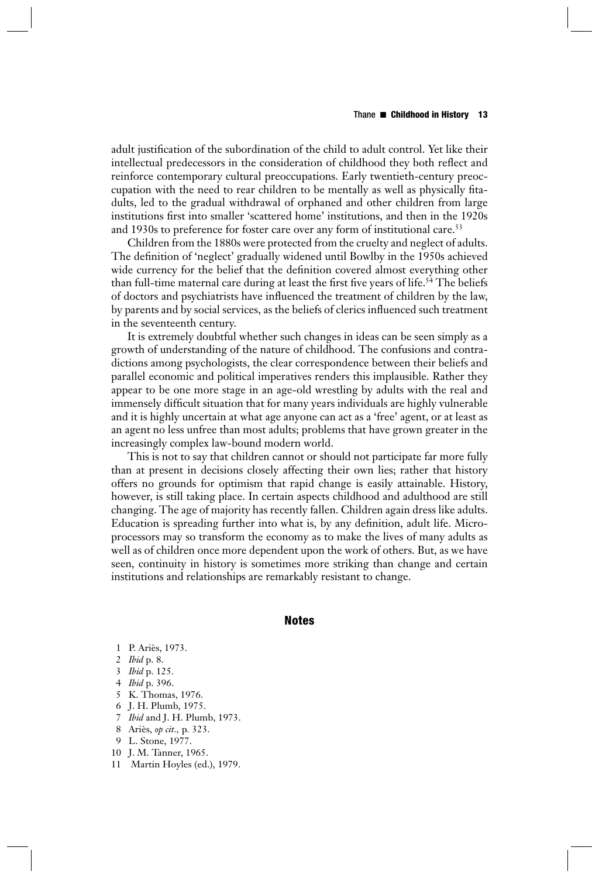adult justification of the subordination of the child to adult control. Yet like their intellectual predecessors in the consideration of childhood they both reflect and reinforce contemporary cultural preoccupations. Early twentieth-century preoccupation with the need to rear children to be mentally as well as physically fitadults, led to the gradual withdrawal of orphaned and other children from large institutions first into smaller 'scattered home' institutions, and then in the 1920s and 1930s to preference for foster care over any form of institutional care.<sup>53</sup>

Children from the 1880s were protected from the cruelty and neglect of adults. The definition of 'neglect' gradually widened until Bowlby in the 1950s achieved wide currency for the belief that the definition covered almost everything other than full-time maternal care during at least the first five years of life.<sup>54</sup> The beliefs of doctors and psychiatrists have influenced the treatment of children by the law, by parents and by social services, as the beliefs of clerics influenced such treatment in the seventeenth century.

It is extremely doubtful whether such changes in ideas can be seen simply as a growth of understanding of the nature of childhood. The confusions and contradictions among psychologists, the clear correspondence between their beliefs and parallel economic and political imperatives renders this implausible. Rather they appear to be one more stage in an age-old wrestling by adults with the real and immensely difficult situation that for many years individuals are highly vulnerable and it is highly uncertain at what age anyone can act as a 'free' agent, or at least as an agent no less unfree than most adults; problems that have grown greater in the increasingly complex law-bound modern world.

This is not to say that children cannot or should not participate far more fully than at present in decisions closely affecting their own lies; rather that history offers no grounds for optimism that rapid change is easily attainable. History, however, is still taking place. In certain aspects childhood and adulthood are still changing. The age of majority has recently fallen. Children again dress like adults. Education is spreading further into what is, by any definition, adult life. Microprocessors may so transform the economy as to make the lives of many adults as well as of children once more dependent upon the work of others. But, as we have seen, continuity in history is sometimes more striking than change and certain institutions and relationships are remarkably resistant to change.

## **Notes**

- 1 P. Ariès, 1973.
- 2 *Ibid* p. 8.
- 3 *Ibid* p. 125.
- 4 *Ibid* p. 396.
- 5 K. Thomas, 1976.
- 6 J. H. Plumb, 1975.
- 7 *Ibid* and J. H. Plumb, 1973.
- 8 Ariès, *op cit.,* p*.* 323.
- 9 L. Stone, 1977.
- 10 J. M. Tanner, 1965.
- 11 Martin Hoyles (ed.), 1979.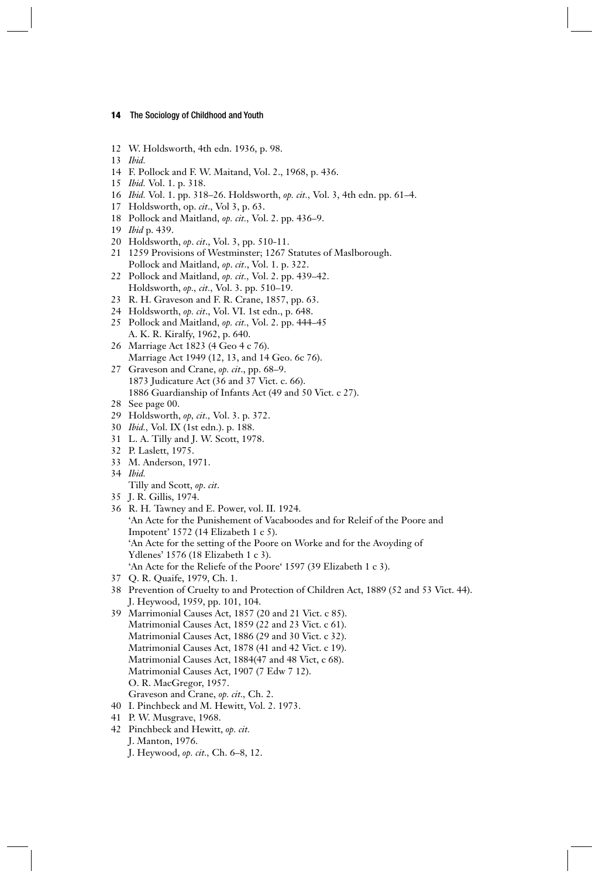- 12 W. Holdsworth, 4th edn. 1936, p. 98.
- 13 *Ibid.*
- 14 F. Pollock and F. W. Maitand, Vol. 2., 1968, p. 436.
- 15 *Ibid.* Vol. 1. p. 318.
- 16 *Ibid.* Vol. 1. pp. 318–26. Holdsworth, *op. cit.,* Vol. 3, 4th edn. pp. 61–4.
- 17 Holdsworth, op. *cit*., Vol 3, p. 63.
- 18 Pollock and Maitland, *op. cit.,* Vol. 2. pp. 436–9.
- 19 *Ibid* p. 439.
- 20 Holdsworth, *op*. *cit*., Vol. 3, pp. 510-11.
- 21 1259 Provisions of Westminster; 1267 Statutes of Maslborough. Pollock and Maitland, *op*. *cit*., Vol. 1. p. 322.
- 22 Pollock and Maitland, *op. cit.,* Vol. 2. pp. 439–42. Holdsworth, *op., cit.,* Vol. 3. pp. 510–19.
- 23 R. H. Graveson and F. R. Crane, 1857, pp. 63.
- 24 Holdsworth, *op. cit*., Vol. VI. 1st edn., p. 648.
- 25 Pollock and Maitland, *op. cit.,* Vol. 2. pp. 444–45 A. K. R. Kiralfy, 1962, p. 640.
- 26 Marriage Act 1823 (4 Geo 4 c 76). Marriage Act 1949 (12, 13, and 14 Geo. 6c 76).
- 27 Graveson and Crane, *op. cit*., pp. 68–9. 1873 Judicature Act (36 and 37 Vict. c. 66). 1886 Guardianship of Infants Act (49 and 50 Vict. c 27).
- 28 See page 00.
- 29 Holdsworth, *op, cit.,* Vol. 3. p. 372.
- 30 *Ibid.,* Vol. IX (1st edn.). p. 188.
- 31 L. A. Tilly and J. W. Scott, 1978.
- 32 P. Laslett, 1975.
- 33 M. Anderson, 1971.
- 34 *Ibid.*
	- Tilly and Scott, *op*. *cit*.
- 35 J. R. Gillis, 1974.
- 36 R. H*.* Tawney and E. Power, vol. II. 1924. 'An Acte for the Punishement of Vacaboodes and for Releif of the Poore and Impotent' 1572 (14 Elizabeth 1 c 5). 'An Acte for the setting of the Poore on Worke and for the Avoyding of Ydlenes' 1576 (18 Elizabeth 1 c 3). 'An Acte for the Reliefe of the Poore' 1597 (39 Elizabeth 1 c 3).
- 37 Q. R. Quaife, 1979, Ch. 1.
- 38 Prevention of Cruelty to and Protection of Children Act, 1889 (52 and 53 Vict. 44). J. Heywood, 1959, pp. 101, 104.
- 39 Marrimonial Causes Act, 1857 (20 and 21 Vict. c 85). Matrimonial Causes Act, 1859 (22 and 23 Vict. c 61). Matrimonial Causes Act, 1886 (29 and 30 Vict. c 32). Matrimonial Causes Act, 1878 (41 and 42 Vict. c 19). Matrimonial Causes Act, 1884(47 and 48 Vict, c 68). Matrimonial Causes Act, 1907 (7 Edw 7 12). O. R. MacGregor, 1957. Graveson and Crane, *op. cit.,* Ch. 2.
- 40 I. Pinchbeck and M. Hewitt, Vol. 2. 1973.
- 41 P. W. Musgrave, 1968.
- 42 Pinchbeck and Hewitt, *op. cit.*
- J. Manton, 1976.
	- J. Heywood, *op. cit.,* Ch. 6–8, 12.